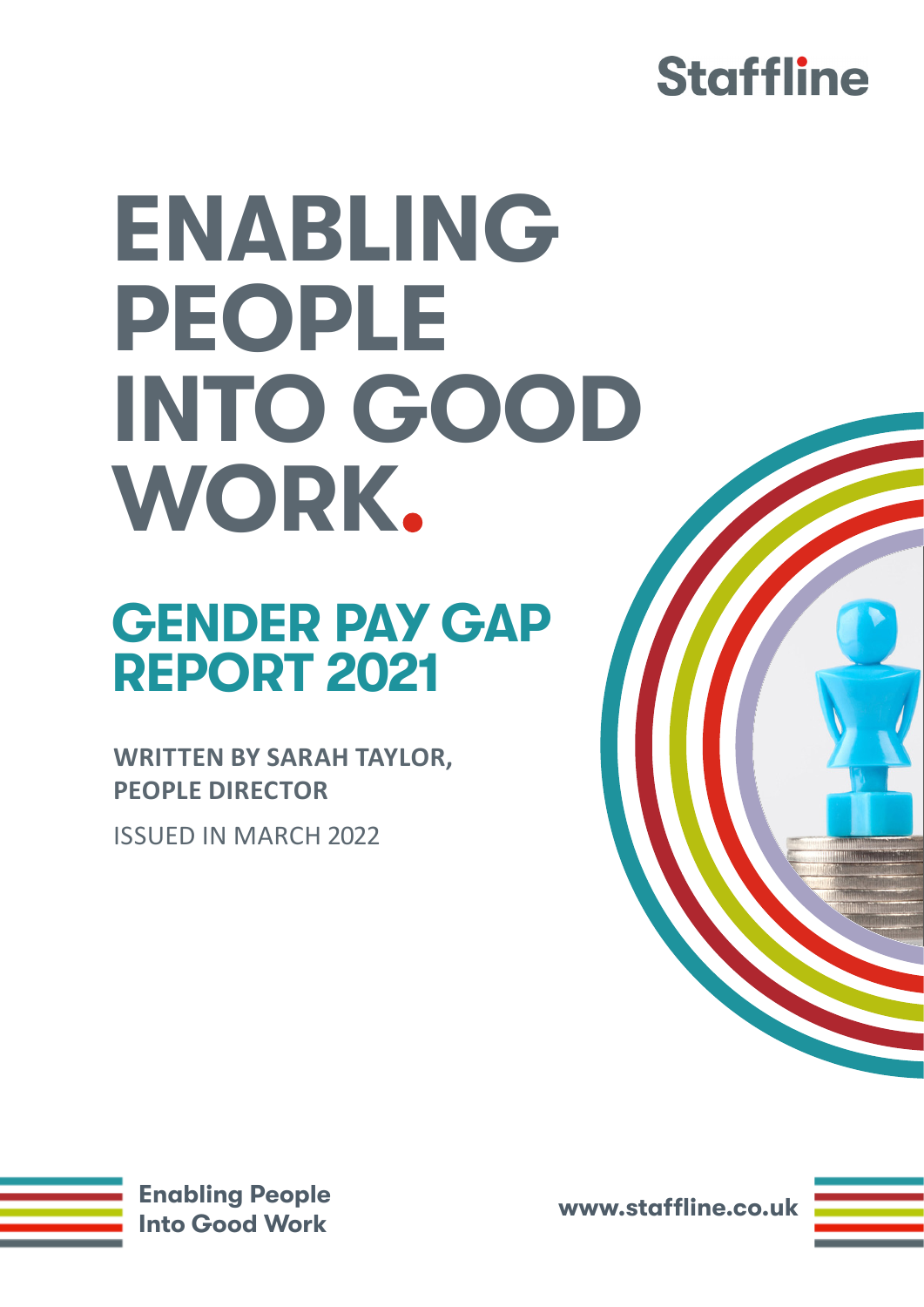#### **Staffline**

# **ENABLING PEOPLE INTO GOOD WORK**

#### **GENDER PAY GAP REPORT 2021**

**WRITTEN BY SARAH TAYLOR, PEOPLE DIRECTOR**

ISSUED IN MARCH 2022



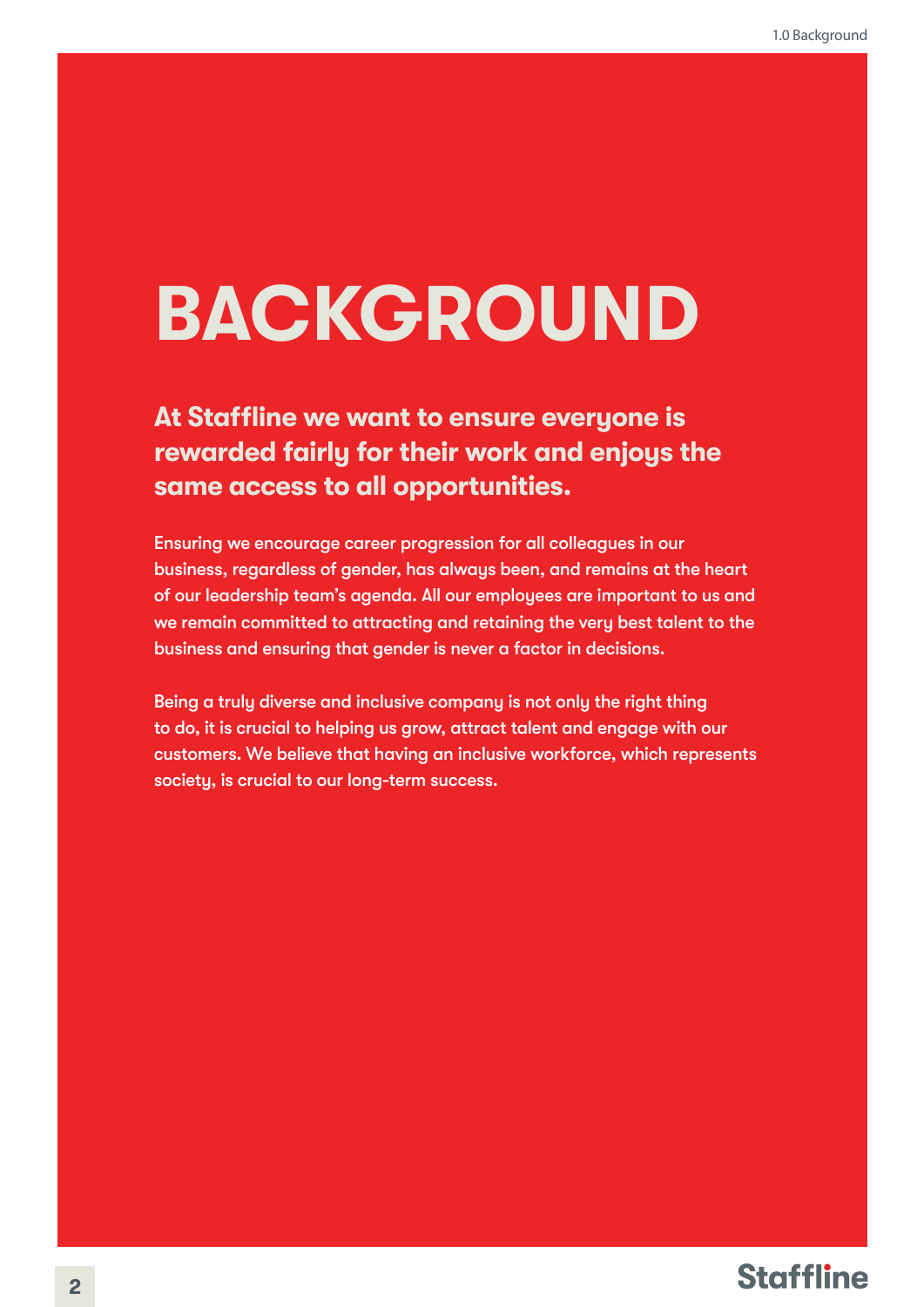# **BACKGROUND**

#### **At Staffline we want to ensure everyone is rewarded fairly for their work and enjoys the same access to all opportunities.**

Ensuring we encourage career progression for all colleagues in our business, regardless of gender, has always been, and remains at the heart of our leadership team's agenda. All our employees are important to us and we remain committed to attracting and retaining the very best talent to the business and ensuring that gender is never a factor in decisions. **22.0 2.0 BACKGROUND**<br>
At Staffilne we want to ensure everyone is<br>
rewarded failing for their work and enjoys the<br>
same access to call opportunities.<br>
Ensure access to call opportunities.<br>
Ensure access to call opportuniti

Being a truly diverse and inclusive company is not only the right thing to do, it is crucial to helping us grow, attract talent and engage with our customers. We believe that having an inclusive workforce, which represents society, is crucial to our long-term success.

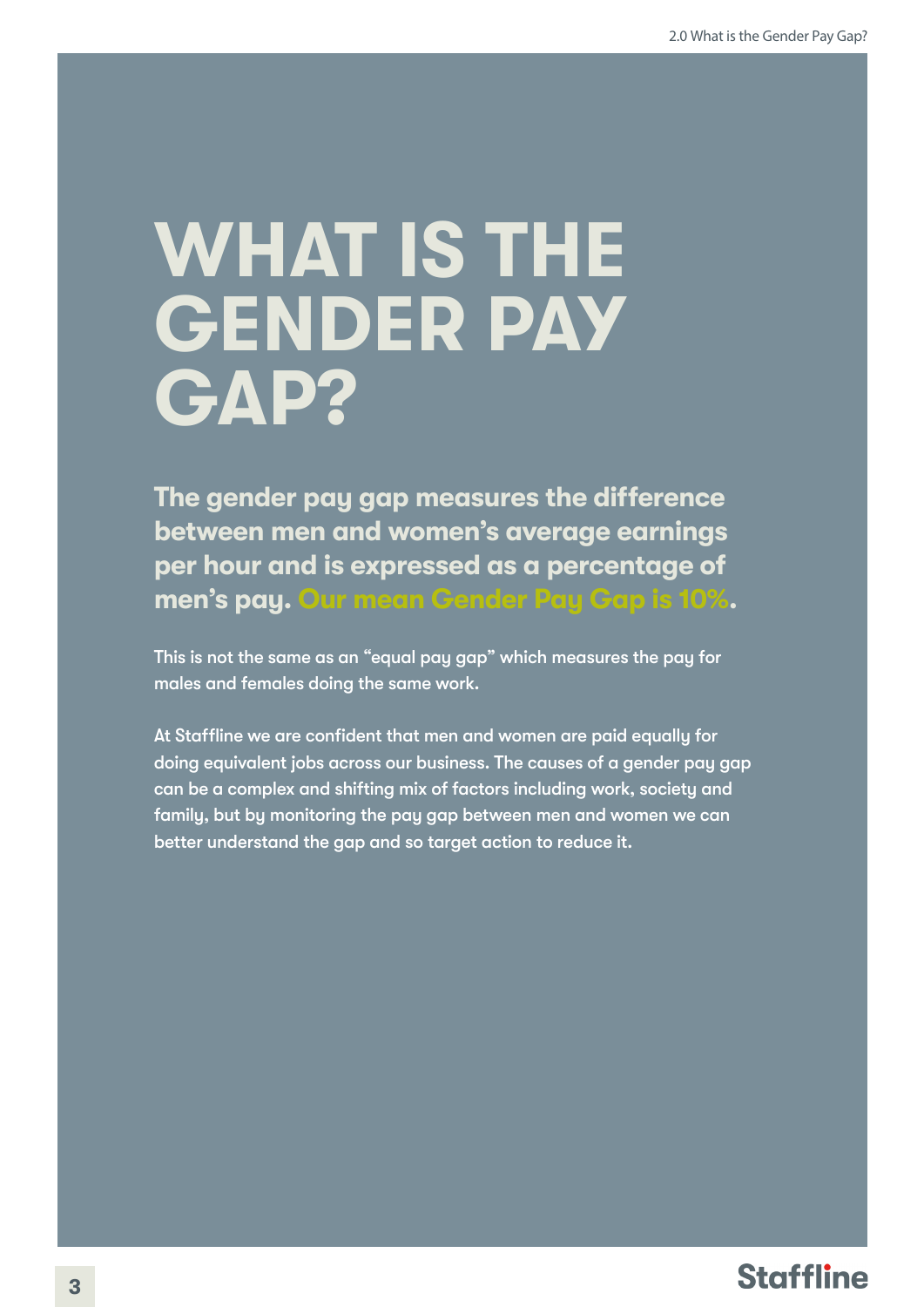## **WHAT IS THE GENDER PAY GAP?**

**The gender pay gap measures the difference between men and women's average earnings per hour and is expressed as a percentage of men's pay. Our mean Gender Pay Gap is 10%.** 

This is not the same as an "equal pay gap" which measures the pay for males and females doing the same work.

At Staffline we are confident that men and women are paid equally for doing equivalent jobs across our business. The causes of a gender pay gap can be a complex and shifting mix of factors including work, society and family, but by monitoring the pay gap between men and women we can better understand the gap and so target action to reduce it.

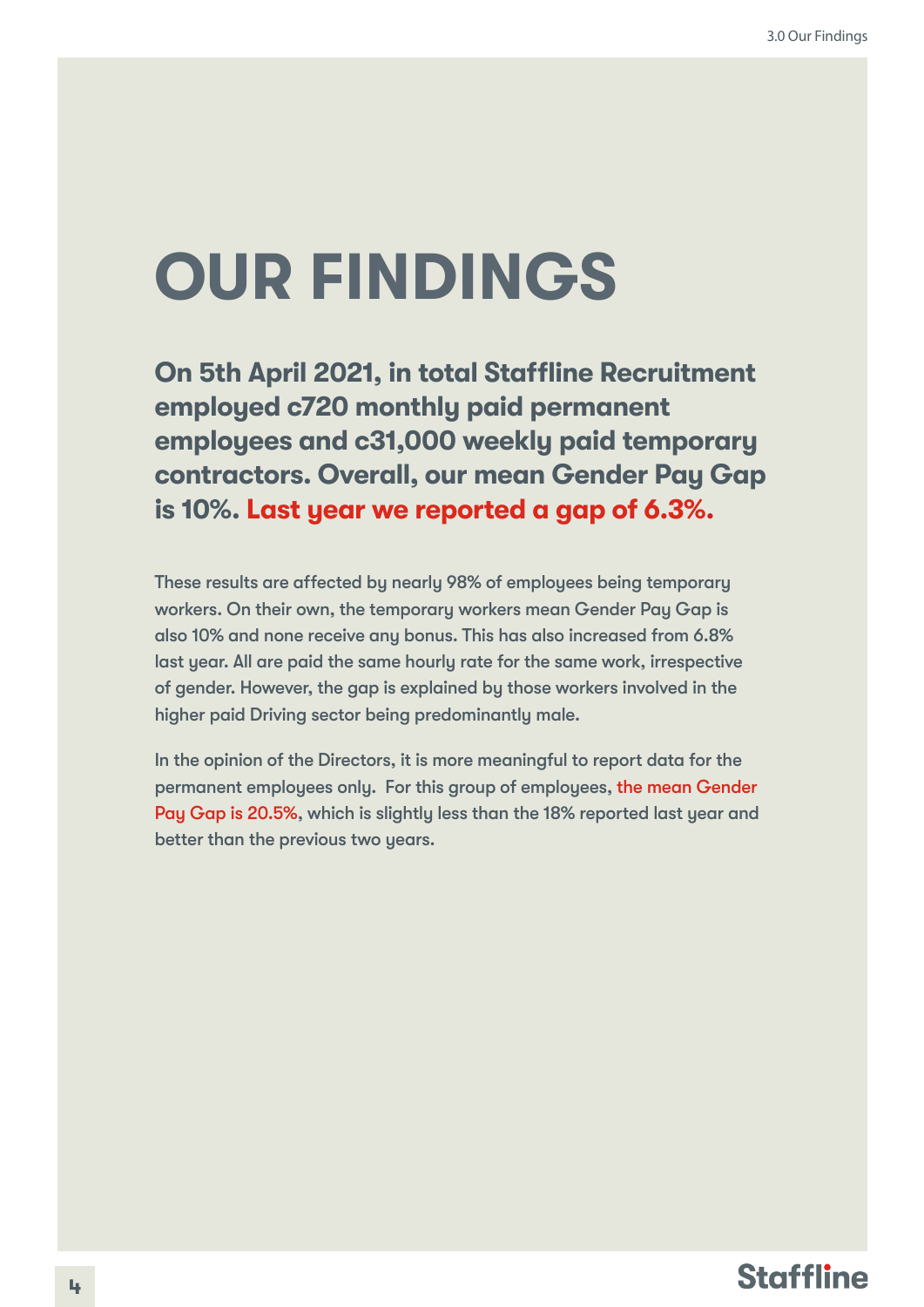### **OUR FINDINGS**

**On 5th April 2021, in total Staffline Recruitment employed c720 monthly paid permanent employees and c31,000 weekly paid temporary contractors. Overall, our mean Gender Pay Gap is 10%. Last year we reported a gap of 6.3%.**

These results are affected by nearly 98% of employees being temporary workers. On their own, the temporary workers mean Gender Pay Gap is also 10% and none receive any bonus. This has also increased from 6.8% last year. All are paid the same hourly rate for the same work, irrespective of gender. However, the gap is explained by those workers involved in the higher paid Driving sector being predominantly male.

In the opinion of the Directors, it is more meaningful to report data for the permanent employees only. For this group of employees, the mean Gender Pay Gap is 20.5%, which is slightly less than the 18% reported last year and better than the previous two years.

#### **Staffline**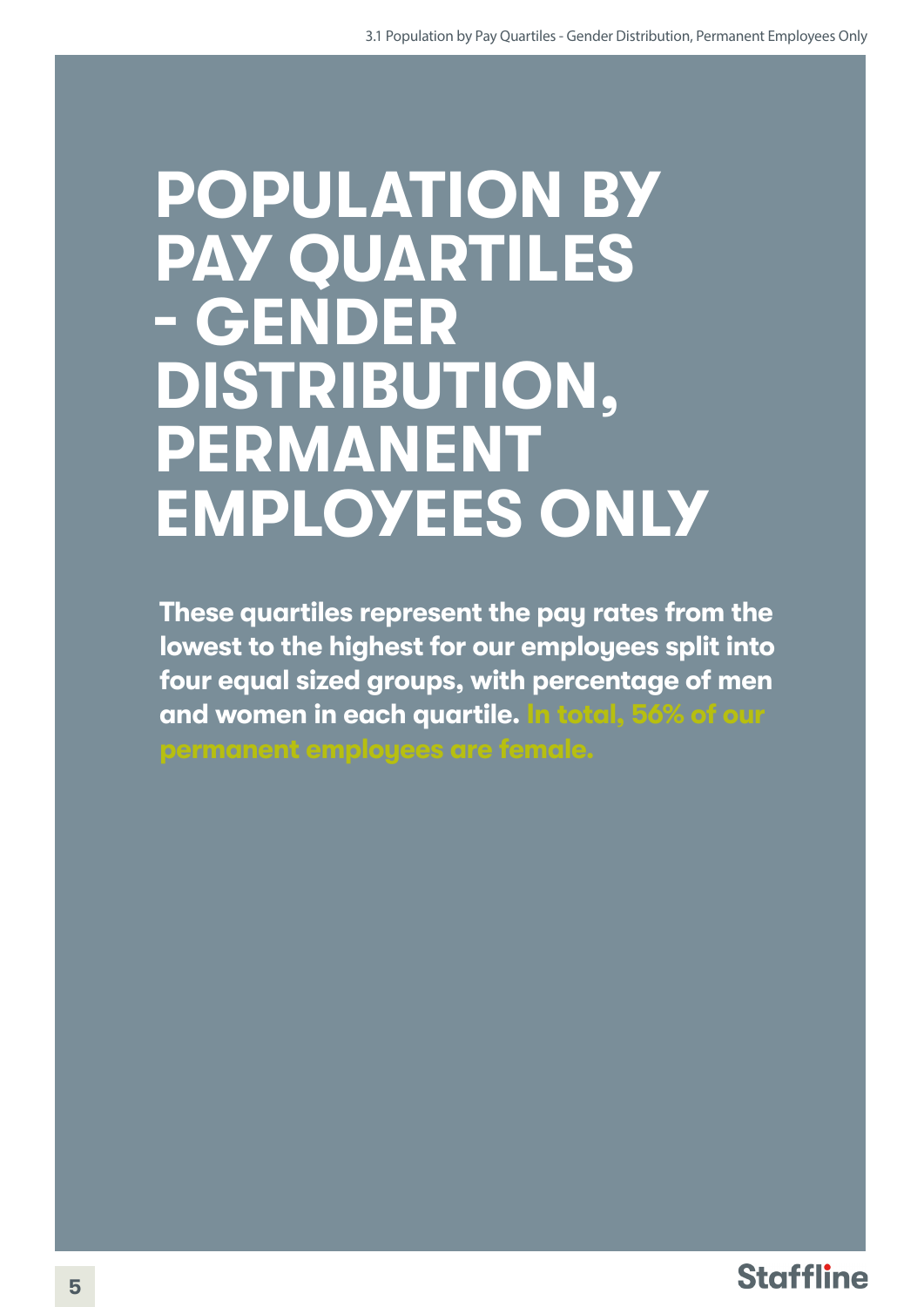#### **POPULATION BY PAY QUARTILES - GENDER DISTRIBUTION, PERMANENT EMPLOYEES ONLY**

**These quartiles represent the pay rates from the lowest to the highest for our employees split into four equal sized groups, with percentage of men and women in each quartile. In total, 56% of our** 

**permanent employees are female.**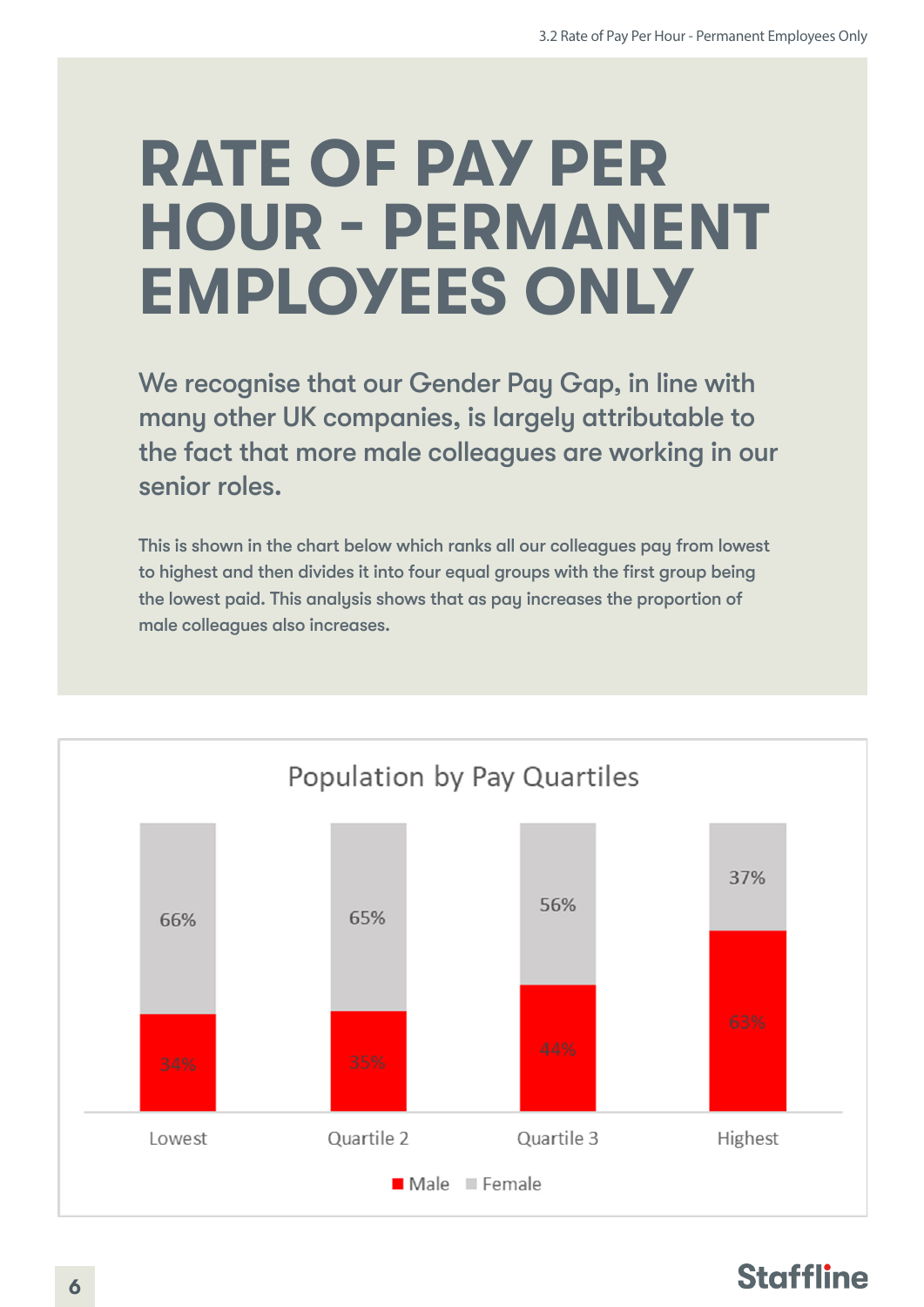### **RATE OF PAY PER HOUR - PERMANENT EMPLOYEES ONLY**

We recognise that our Gender Pay Gap, in line with many other UK companies, is largely attributable to the fact that more male colleagues are working in our senior roles.

This is shown in the chart below which ranks all our colleagues pay from lowest to highest and then divides it into four equal groups with the first group being the lowest paid. This analysis shows that as pay increases the proportion of male colleagues also increases.



#### **Staffline**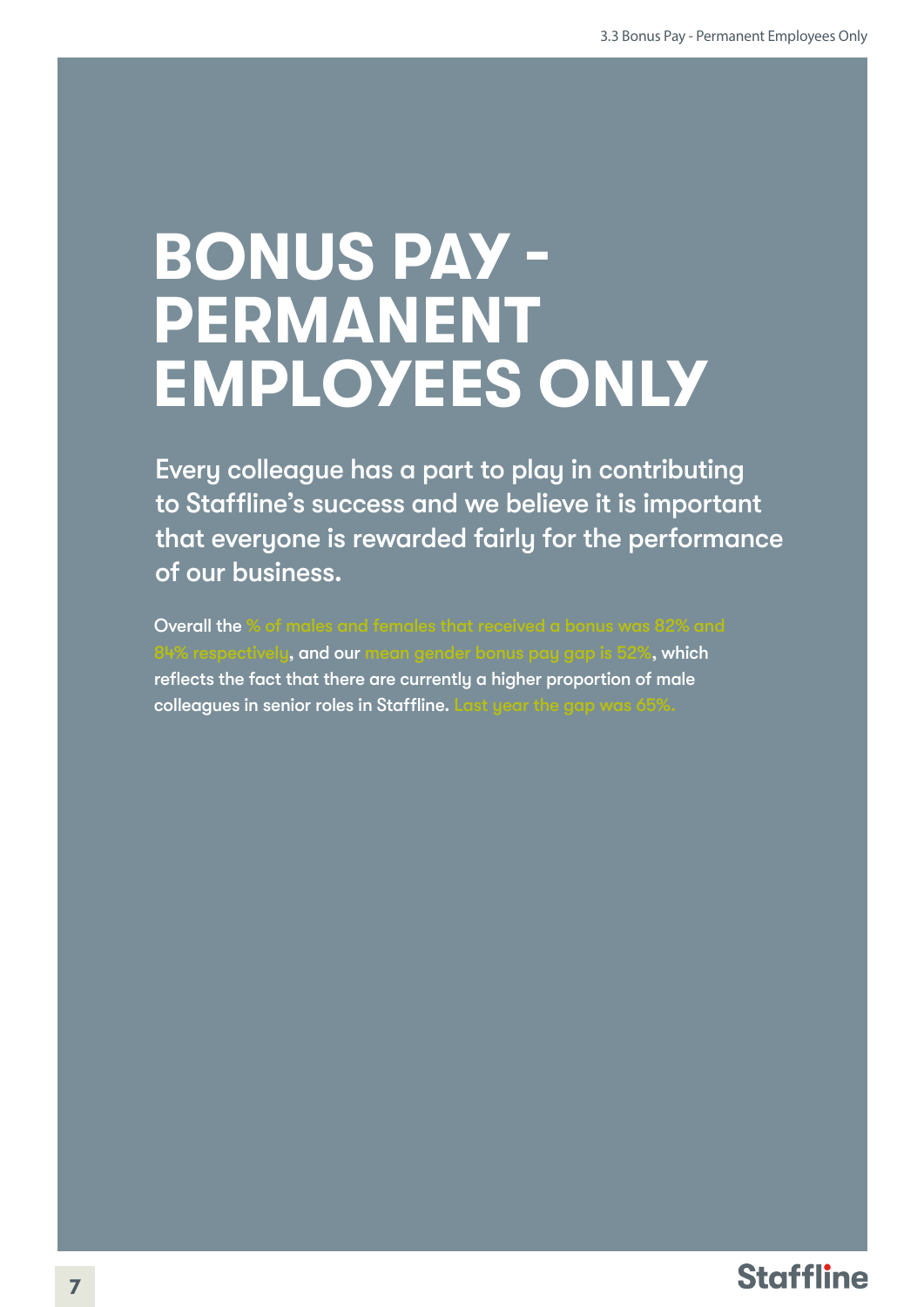#### **BONUS PAY - PERMANENT EMPLOYEES ONLY**

Every colleague has a part to play in contributing to Staffline's success and we believe it is important that everyone is rewarded fairly for the performance of our business.

Overall the % of males and females that received a bonus was 82% and spectivel<mark>y, and our</mark> mean gender bonus pay gap is 52%, which reflects the fact that there are currently a higher proportion of male colleagues in senior roles in Staffline. Last year the gap was 65%.

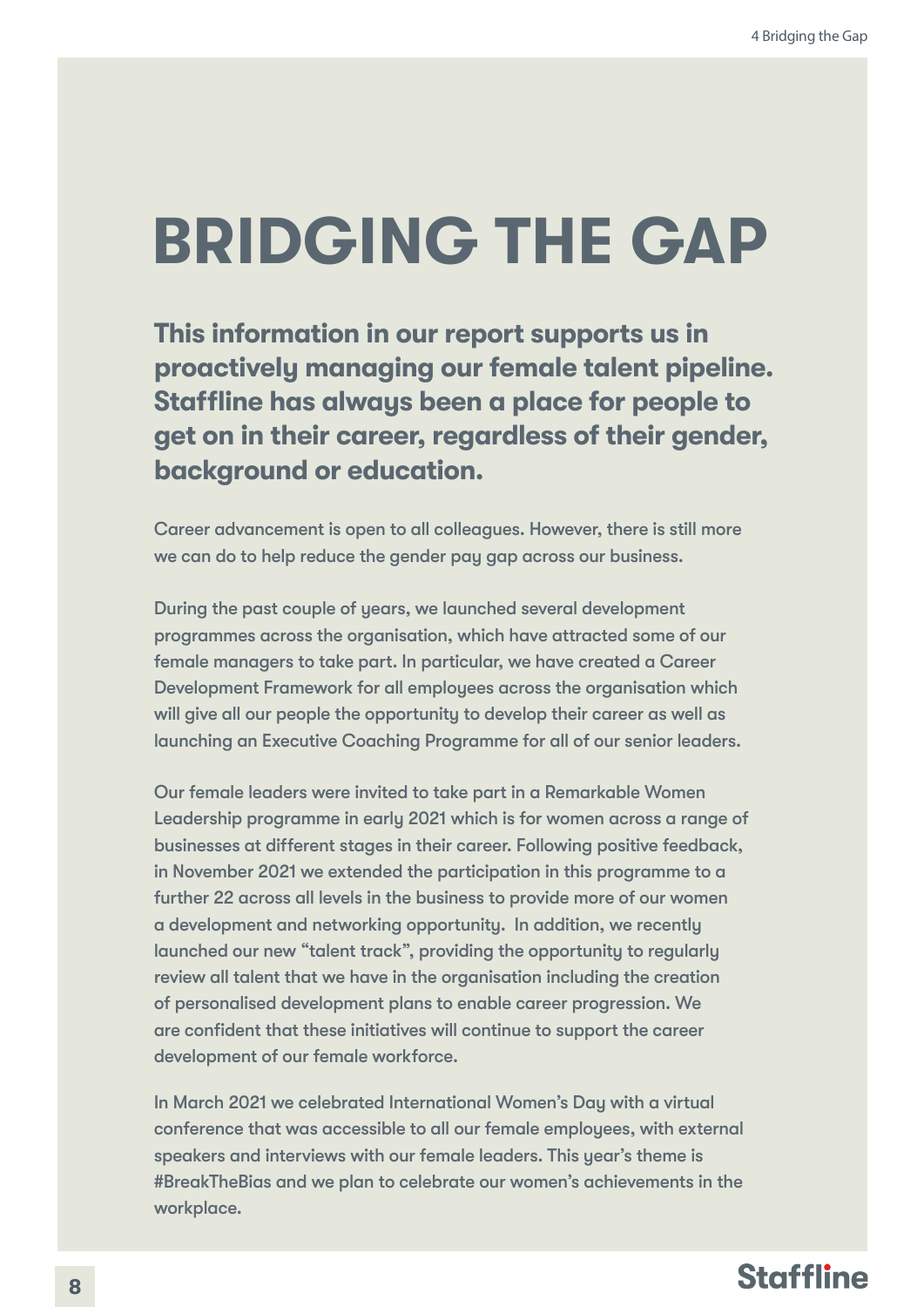### **BRIDGING THE GAP**

**This information in our report supports us in proactively managing our female talent pipeline. Staffline has always been a place for people to get on in their career, regardless of their gender, background or education.** 

Career advancement is open to all colleagues. However, there is still more we can do to help reduce the gender pay gap across our business.

During the past couple of years, we launched several development programmes across the organisation, which have attracted some of our female managers to take part. In particular, we have created a Career Development Framework for all employees across the organisation which will give all our people the opportunity to develop their career as well as launching an Executive Coaching Programme for all of our senior leaders.

Our female leaders were invited to take part in a Remarkable Women Leadership programme in early 2021 which is for women across a range of businesses at different stages in their career. Following positive feedback, in November 2021 we extended the participation in this programme to a further 22 across all levels in the business to provide more of our women a development and networking opportunity. In addition, we recently launched our new "talent track", providing the opportunity to regularly review all talent that we have in the organisation including the creation of personalised development plans to enable career progression. We are confident that these initiatives will continue to support the career development of our female workforce.

In March 2021 we celebrated International Women's Day with a virtual conference that was accessible to all our female employees, with external speakers and interviews with our female leaders. This year's theme is #BreakTheBias and we plan to celebrate our women's achievements in the workplace.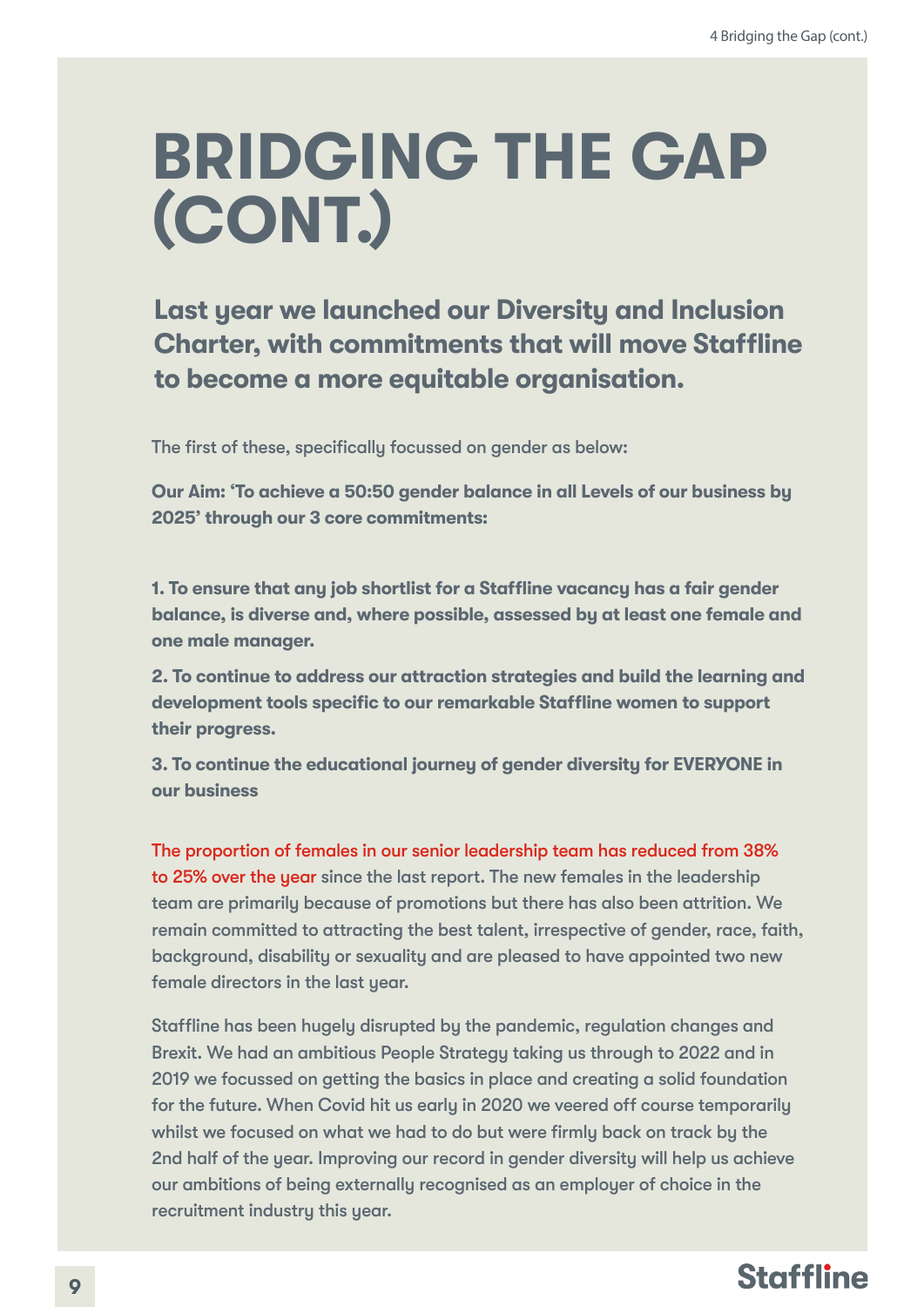### **BRIDGING THE GAP (CONT.)**

**Last year we launched our Diversity and Inclusion Charter, with commitments that will move Staffline to become a more equitable organisation.**

The first of these, specifically focussed on gender as below:

**Our Aim: 'To achieve a 50:50 gender balance in all Levels of our business by 2025' through our 3 core commitments:** 

**1. To ensure that any job shortlist for a Staffline vacancy has a fair gender balance, is diverse and, where possible, assessed by at least one female and one male manager.** 

**2. To continue to address our attraction strategies and build the learning and development tools specific to our remarkable Staffline women to support their progress.** 

**3. To continue the educational journey of gender diversity for EVERYONE in our business**

The proportion of females in our senior leadership team has reduced from 38% to 25% over the year since the last report. The new females in the leadership team are primarily because of promotions but there has also been attrition. We remain committed to attracting the best talent, irrespective of gender, race, faith, background, disability or sexuality and are pleased to have appointed two new female directors in the last year.

Staffline has been hugely disrupted by the pandemic, regulation changes and Brexit. We had an ambitious People Strategy taking us through to 2022 and in 2019 we focussed on getting the basics in place and creating a solid foundation for the future. When Covid hit us early in 2020 we veered off course temporarily whilst we focused on what we had to do but were firmly back on track by the 2nd half of the year. Improving our record in gender diversity will help us achieve our ambitions of being externally recognised as an employer of choice in the recruitment industry this year.